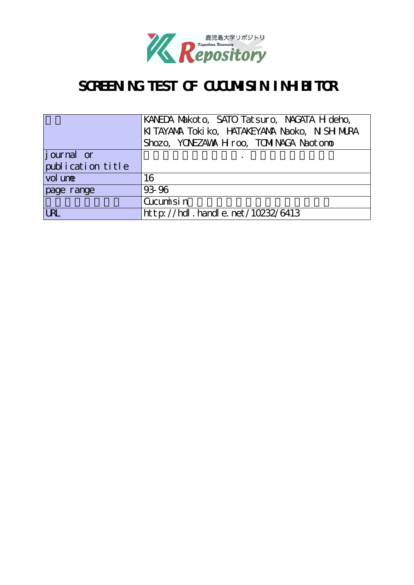

# SCREENING TEST OF CUCUMISIN INHELTOR

|                   | KANEDA Makoto, SATO Tatsuro, NAGATA H deho,    |
|-------------------|------------------------------------------------|
|                   | KI TAYANA Toki ko, HATAKEYANA Naoko, N SH MURA |
|                   | Shozo, YONEZAWA H roo, TOMINACA Naotono        |
| journal or        |                                                |
| publication title |                                                |
| vol une           | 16                                             |
| page range        | 93-96                                          |
|                   | Cucumisin                                      |
| <b>URL</b>        | http://hdl.handle.net/10232/6413               |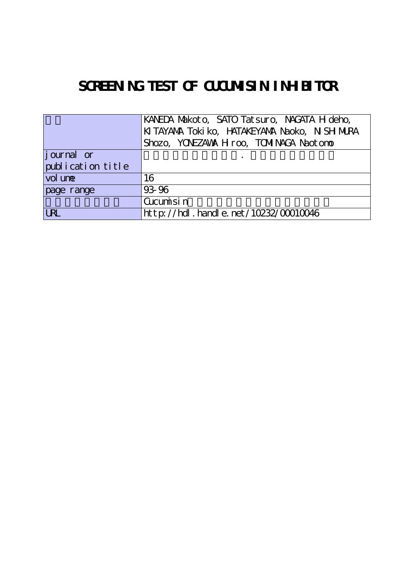# SCREENING TEST OF CUCUMISIN INHELTOR

|                    | KANEDA Makoto, SATO Tatsuro, NAGATA H deho,    |
|--------------------|------------------------------------------------|
|                    | KI TAYANA Toki ko, HATAKEYANA Naoko, N SH MURA |
|                    | Shozo, YONEZAWA H roo, TOMINACA Naotono        |
| <i>j</i> ournal or |                                                |
| publication title  |                                                |
| vol une            | 16                                             |
| page range         | 93 96                                          |
|                    | Cucumisin                                      |
| <b>URL</b>         | $http://hdl. handle. net/10232/00010046$       |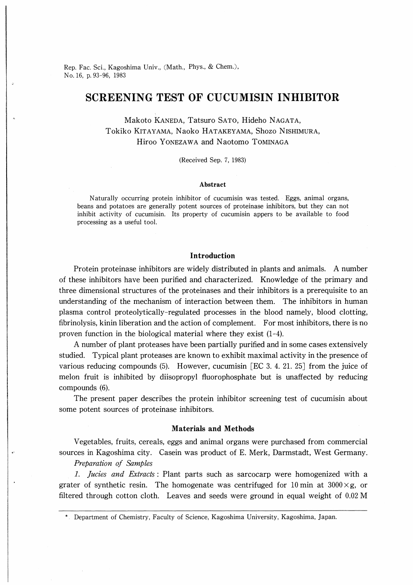Rep. Fac. Sci., Kagoshima Univ., (Math., Phys., & Chem.), No.16, p.93-96, 1983

# SCREENING TEST OF CUCUMISIN INHIBITOR

Makoto KANEDA, Tatsuro SATO, Hideho NAGATA, Tokiko Kitayama, Naoko Hatakeyama, Shozo Nishimura, Hiroo Yonezawa and Naotomo Tominaga

(Received Sep. 7, 1983)

#### Abstract

Naturally occurring protein inhibitor of cucumisin was tested. Eggs, animal organs, beans and potatoes are generally potent sources of proteinase inhibitors, but they can not inhibit activity of cucumisin. Its property of cucumisin appers to be available to food processing as a useful tool.

### Introduction

Protein proteinase inhibitors are widely distributed in plants and animals. A number of these inhibitors have been purified and characterized. Knowledge of the primary and three dimensional structures of the proteinases and their inhibitors is a prerequisite to an understanding of the mechanism of interaction between them. The inhibitors in human plasma control proteolytically-regulated processes in the blood namely, blood clotting, fibrinolysis, kinin liberation and the action of complement. For most inhibitors, there is no proven function in the biological material where they exist  $(1-4)$ .

A number of plant proteases have been partially purified and in some cases extensively studied. Typical plant proteases are known to exhibit maximal activity in the presence of various reducing compounds (5). However, cucumisin [EC 3. 4. 21. 25] from the juice of melon fruit is inhibited by diisopropyl fluorophosphate but is unaffected by reducing compounds (6).

The present paper describes the protein inhibitor screening test of cucumisin about some potent sources of proteinase inhibitors.

#### Materials and Methods

Vegetables, fruits, cereals, eggs and animal organs were purchased from commercial sources in Kagoshima city. Casein was product of E. Merk, Darmstadt, West Germany.

Preparation of Samples

l. Jucies and Extracts : Plant parts such as sarcocarp were homogenized with a grater of synthetic resin. The homogenate was centrifuged for 10 min at  $3000 \times g$ , or filtered through cotton cloth. Leaves and seeds were ground in equal weight of 0.02 M

<sup>\*.</sup> Department of Chemistry, Faculty of Science, Kagoshima University, Kagoshima, Japan.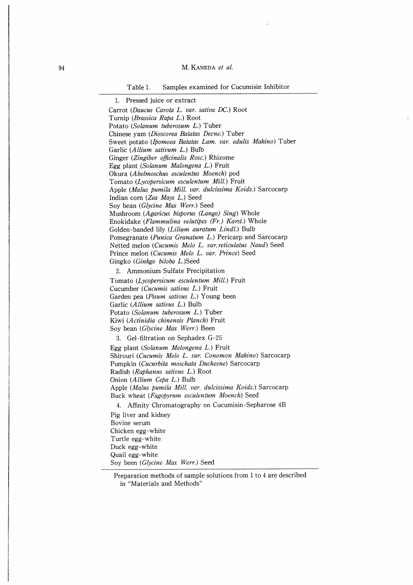#### 94 M. KANEDA et al.

Table 1. Samples examined for Cucumisin Inhibitor

Carrot {Daucus Carota L. var. sativa DC.) Root Turnip (Brassica Rapa L.) Root Potato (Solanum tuberosum L.) Tuber Chinese yam (Dioscorea Batatas Decne.) Tuber Sweet potato (Ipomoea Batatas Lam. var. edulis Makino) Tuber Garlic (AIlium sativum L.) Bulb Ginger (Zingiber officinalis Rosc.) Rhizome Egg plant {Solanum Malongena L.) Fruit Okura (Abelmoschus esculentus Moench) pod Tomato (Lycopersicum esculentum Mill.) Fruit Apple (Malus pumila Mill. var. dulcissima Koidz.) Sarcocarp Indian corn (Zea Mays L.) Seed Soy bean (Glycine Max Werr.) Seed Mushroom (Agaricus bisporus (Lange) Sing) Whole Enokidake (Flammulina velutipes (Fr.) Karst.) Whole Golden-banded lily (Lilium auratum Lindl.) Bulb Pomegranate (Punica Granatum L.) Pericarp and Sarcocarp Netted melon (Cucumis Melo L. var.reticulatus Naud) Seed Prince melon (Cucumis Melo L. var. Prince) Seed Gingko (Ginkgo biloba L.)Seed

2. Ammonium Sulfate Precipitation

Tomato (Lycopersicum esculentum Mill.) Fruit Cucumber (Cucumis sativus L.) Fruit Garden pea (Pisum sativus L.) Young been Garlic (AIlium sativus L.) Bulb Potato (Solanum tuberosum L.) Tuber Kiwi {Actinidia chinensis Planch) Fruit Soy bean (Glycine Max Werr.) Been

3. Gel-filtration on Sephadex G-25 Egg plant (Solanum Melongena L.) Fruit Shirouri (Cucumis Melo L. var. Conomon Makino) Sarcocarp Pumpkin (Cucurbita moschata Duchesne) Sarcocarp Radish (Raphanus sativus L.) Root Onion (AIlium Cepa L.) Bulb Apple (Malus pumila Mill. var. dulcissima Koidz.) Sarcocarp Buck wheat (Fagopyrum esculentum Moench) Seed

4. Affinity Chromatography on Cucumisin-Sepharose 4B Pig liver and kidney Bovine serum Chicken egg-white Turtle egg-white Duck egg-white Quail egg-white Soy been (Glycine Max Werr.) Seed

Preparation methods of sample solutions from 1 to 4 are described in "Materials and Methods"

<sup>1.</sup> Pressed juice or extract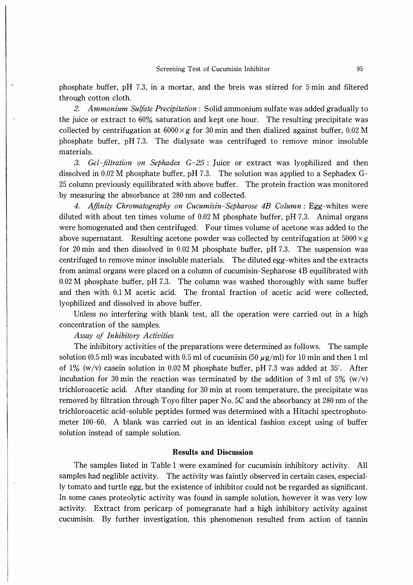phosphate buffer, pH 7.3, in a mortar, and the breis was stirred for 5 min and filtered through cotton cloth.

2. Ammonium Sulfate Precipitation : Solid ammonium sulfate was added gradually to the juice or extract to 60% saturation and kept one hour. The resulting precipitate was collected by centrifugation at  $6000\times g$  for 30 min and then dialized against buffer, 0.02 M phosphate buffer,  $pH 7.3$ . The dialysate was centrifuged to remove minor insoluble materials.

3. Gel-filtration on Sephadex  $G-25$ : Juice or extract was lyophilized and then dissolved in 0.02 M phosphate buffer, pH 7.3. The solution was applied to a Sephadex G-25 column previously equilibrated with above buffer. The protein fraction was monitored by measuring the absorbance at 280 nm and collected.

4. Affinity Chromatography on Cucumisin-Sepharose 4B Column : Egg-whites were diluted with about ten times volume of 0.02 M phosphate buffer, pH 7.3. Animal organs were homogenated and then centrifuged. Four times volume of acetone was added to the above supernatant. Resulting acetone powder was collected by centrifugation at  $5000 \times g$ for 20 min and then dissolved in  $0.02$  M phosphate buffer, pH 7.3. The suspension was centrifuged to remove minor insoluble materials. The diluted egg-whites and the extracts from animal organs were placed on a column of cucumisin-Sepharose 4B equilibrated with 0.02 M phosphate buffer, pH 7.3. The column was washed thoroughly with same buffer and then with 0.1 M acetic acid. The frontal fraction of acetic acid were collected, lyophilized and dissolved in above buffer.

Unless no interfering with blank test, all the operation were carried out in a high concentration of the samples.

#### Assay of Inhibitory Activities

The inhibitory activities of the preparations were determined as follows. The sample solution (0.5 ml) was incubated with 0.5 ml of cucumisin (50  $\mu$ g/ml) for 10 min and then 1 ml of  $1\%$  (w/v) casein solution in 0.02 M phosphate buffer, pH 7.3 was added at 35°. After incubation for 30 min the reaction was terminated by the addition of 3 ml of 5% (w/v) trichloroacetic acid. After standing for 30 min at room temperature, the precipitate was removed by filtration through Toyo filter paper No. 5C and the absorbancy at 280 nm of the trichloroacetic acid-soluble peptides formed was determined with a Hitachi spectrophot0 meter 100-60. A blank was carried out in an identical fashion except using of buffer solution instead of sample solution.

## Results and Discussion

The samples listed in Table 1 were examined for cucumisin inhibitory activity. All samples had neglible activity. The activity was faintly observed in certain cases, especially tomato and turtle egg, but the existence of inhibitor could not be regarded as significant. In some cases proteolytic activity was found in sample solution, however it was very low activity. Extract from pericarp of pomegranate had a high inhibitory activity against cucumisin. By further investigation, this phenomenon resulted from action of tannin